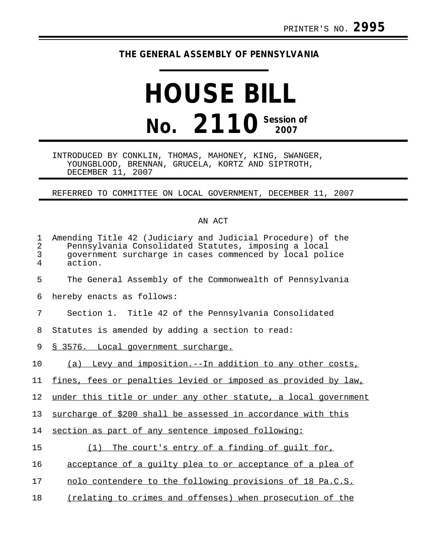## **THE GENERAL ASSEMBLY OF PENNSYLVANIA**

## **HOUSE BILL No. 2110 Session of**

INTRODUCED BY CONKLIN, THOMAS, MAHONEY, KING, SWANGER, YOUNGBLOOD, BRENNAN, GRUCELA, KORTZ AND SIPTROTH, DECEMBER 11, 2007

REFERRED TO COMMITTEE ON LOCAL GOVERNMENT, DECEMBER 11, 2007

## AN ACT

| 1<br>$\overline{2}$<br>3<br>4 | Amending Title 42 (Judiciary and Judicial Procedure) of the<br>Pennsylvania Consolidated Statutes, imposing a local<br>government surcharge in cases commenced by local police<br>action. |
|-------------------------------|-------------------------------------------------------------------------------------------------------------------------------------------------------------------------------------------|
| 5                             | The General Assembly of the Commonwealth of Pennsylvania                                                                                                                                  |
| 6                             | hereby enacts as follows:                                                                                                                                                                 |
| 7                             | Section 1. Title 42 of the Pennsylvania Consolidated                                                                                                                                      |
| 8                             | Statutes is amended by adding a section to read:                                                                                                                                          |
| 9                             | § 3576. Local government surcharge.                                                                                                                                                       |
| 10                            | (a) Levy and imposition.--In addition to any other costs,                                                                                                                                 |
| 11                            | fines, fees or penalties levied or imposed as provided by law,                                                                                                                            |
| 12                            | under this title or under any other statute, a local government                                                                                                                           |
| 13                            | surcharge of \$200 shall be assessed in accordance with this                                                                                                                              |
| 14                            | section as part of any sentence imposed following:                                                                                                                                        |
| 15                            | The court's entry of a finding of guilt for,<br>(1)                                                                                                                                       |
| 16                            | acceptance of a guilty plea to or acceptance of a plea of                                                                                                                                 |
| 17                            | nolo contendere to the following provisions of 18 Pa.C.S.                                                                                                                                 |
| 18                            | (relating to crimes and offenses) when prosecution of the                                                                                                                                 |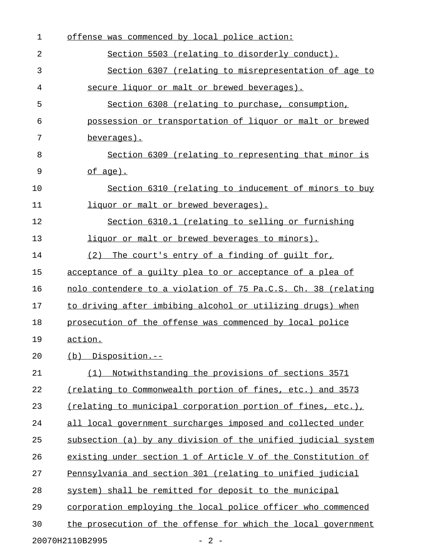| 1  | offense was commenced by local police action:                 |
|----|---------------------------------------------------------------|
| 2  | Section 5503 (relating to disorderly conduct).                |
| 3  | Section 6307 (relating to misrepresentation of age to         |
| 4  | secure liquor or malt or brewed beverages).                   |
| 5  | Section 6308 (relating to purchase, consumption,              |
| 6  | possession or transportation of liquor or malt or brewed      |
| 7  | beverages).                                                   |
| 8  | Section 6309 (relating to representing that minor is          |
| 9  | $of age$ .                                                    |
| 10 | Section 6310 (relating to inducement of minors to buy         |
| 11 | liquor or malt or brewed beverages).                          |
| 12 | Section 6310.1 (relating to selling or furnishing             |
| 13 | liquor or malt or brewed beverages to minors).                |
| 14 | The court's entry of a finding of quilt for,<br>(2)           |
| 15 | acceptance of a quilty plea to or acceptance of a plea of     |
| 16 | nolo contendere to a violation of 75 Pa.C.S. Ch. 38 (relating |
| 17 | to driving after imbibing alcohol or utilizing drugs) when    |
| 18 | prosecution of the offense was commenced by local police      |
| 19 | action.                                                       |
| 20 | (b) Disposition.--                                            |
| 21 | Notwithstanding the provisions of sections 3571<br>(1)        |
| 22 | (relating to Commonwealth portion of fines, etc.) and 3573    |
| 23 | (relating to municipal corporation portion of fines, etc.),   |
| 24 | all local government surcharges imposed and collected under   |
| 25 | subsection (a) by any division of the unified judicial system |
| 26 | existing under section 1 of Article V of the Constitution of  |
| 27 | Pennsylvania and section 301 (relating to unified judicial    |
| 28 | system) shall be remitted for deposit to the municipal        |
| 29 | corporation employing the local police officer who commenced  |
| 30 | the prosecution of the offense for which the local government |
|    | 20070H2110B2995<br>$-2-$                                      |